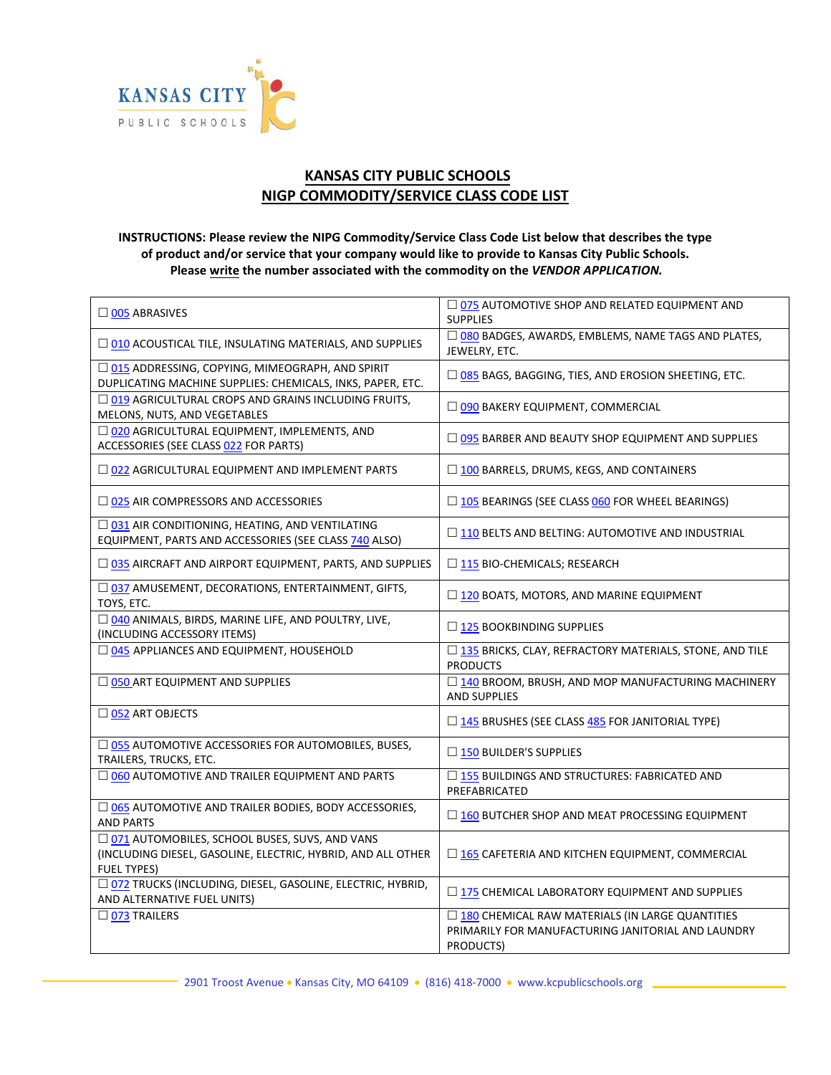

## **KANSAS CITY PUBLIC SCHOOLS NIGP COMMODITY/SERVICE CLASS CODE LIST**

## **INSTRUCTIONS: Please review the NIPG Commodity/Service Class Code List below that describes the type of product and/or service that your company would like to provide to Kansas City Public Schools. Please write the number associated with the commodity on the** *VENDOR APPLICATION.*

| $\Box$ 005 ABRASIVES                                                                                                                  | $\Box$ 075 AUTOMOTIVE SHOP AND RELATED EQUIPMENT AND<br><b>SUPPLIES</b>                                              |
|---------------------------------------------------------------------------------------------------------------------------------------|----------------------------------------------------------------------------------------------------------------------|
| $\Box$ 010 ACOUSTICAL TILE, INSULATING MATERIALS, AND SUPPLIES                                                                        | □ 080 BADGES, AWARDS, EMBLEMS, NAME TAGS AND PLATES,<br>JEWELRY, ETC.                                                |
| □ 015 ADDRESSING, COPYING, MIMEOGRAPH, AND SPIRIT<br>DUPLICATING MACHINE SUPPLIES: CHEMICALS, INKS, PAPER, ETC.                       | □ 085 BAGS, BAGGING, TIES, AND EROSION SHEETING, ETC.                                                                |
| □ 019 AGRICULTURAL CROPS AND GRAINS INCLUDING FRUITS,<br>MELONS, NUTS, AND VEGETABLES                                                 | O 090 BAKERY EQUIPMENT, COMMERCIAL                                                                                   |
| □ 020 AGRICULTURAL EQUIPMENT, IMPLEMENTS, AND<br>ACCESSORIES (SEE CLASS 022 FOR PARTS)                                                | □ 095 BARBER AND BEAUTY SHOP EQUIPMENT AND SUPPLIES                                                                  |
| $\Box$ 022 AGRICULTURAL EQUIPMENT AND IMPLEMENT PARTS                                                                                 | $\Box$ 100 BARRELS, DRUMS, KEGS, AND CONTAINERS                                                                      |
| $\square$ 025 AIR COMPRESSORS AND ACCESSORIES                                                                                         | □ 105 BEARINGS (SEE CLASS 060 FOR WHEEL BEARINGS)                                                                    |
| □ 031 AIR CONDITIONING, HEATING, AND VENTILATING<br>EQUIPMENT, PARTS AND ACCESSORIES (SEE CLASS 740 ALSO)                             | □ 110 BELTS AND BELTING: AUTOMOTIVE AND INDUSTRIAL                                                                   |
| □ 035 AIRCRAFT AND AIRPORT EQUIPMENT, PARTS, AND SUPPLIES                                                                             | $\Box$ 115 BIO-CHEMICALS; RESEARCH                                                                                   |
| □ 037 AMUSEMENT, DECORATIONS, ENTERTAINMENT, GIFTS,<br>TOYS, ETC.                                                                     | □ 120 BOATS, MOTORS, AND MARINE EQUIPMENT                                                                            |
| □ 040 ANIMALS, BIRDS, MARINE LIFE, AND POULTRY, LIVE,<br>(INCLUDING ACCESSORY ITEMS)                                                  | □ 125 BOOKBINDING SUPPLIES                                                                                           |
| $\Box$ 045 APPLIANCES AND EQUIPMENT, HOUSEHOLD                                                                                        | □ 135 BRICKS, CLAY, REFRACTORY MATERIALS, STONE, AND TILE<br><b>PRODUCTS</b>                                         |
| O 050 ART EQUIPMENT AND SUPPLIES                                                                                                      | □ 140 BROOM, BRUSH, AND MOP MANUFACTURING MACHINERY<br><b>AND SUPPLIES</b>                                           |
| □ 052 ART OBJECTS                                                                                                                     | □ 145 BRUSHES (SEE CLASS 485 FOR JANITORIAL TYPE)                                                                    |
| $\Box$ 055 AUTOMOTIVE ACCESSORIES FOR AUTOMOBILES, BUSES,<br>TRAILERS, TRUCKS, ETC.                                                   | $\square$ 150 BUILDER'S SUPPLIES                                                                                     |
| $\Box$ 060 AUTOMOTIVE AND TRAILER EQUIPMENT AND PARTS                                                                                 | $\Box$ 155 BUILDINGS AND STRUCTURES: FABRICATED AND<br>PREFABRICATED                                                 |
| □ 065 AUTOMOTIVE AND TRAILER BODIES, BODY ACCESSORIES,<br><b>AND PARTS</b>                                                            | $\Box$ 160 BUTCHER SHOP AND MEAT PROCESSING EQUIPMENT                                                                |
| □ 071 AUTOMOBILES, SCHOOL BUSES, SUVS, AND VANS<br>(INCLUDING DIESEL, GASOLINE, ELECTRIC, HYBRID, AND ALL OTHER<br><b>FUEL TYPES)</b> | □ 165 CAFETERIA AND KITCHEN EQUIPMENT, COMMERCIAL                                                                    |
| □ 072 TRUCKS (INCLUDING, DIESEL, GASOLINE, ELECTRIC, HYBRID,<br>AND ALTERNATIVE FUEL UNITS)                                           | $\Box$ 175 CHEMICAL LABORATORY EQUIPMENT AND SUPPLIES                                                                |
| $\Box$ 073 TRAILERS                                                                                                                   | □ 180 CHEMICAL RAW MATERIALS (IN LARGE QUANTITIES<br>PRIMARILY FOR MANUFACTURING JANITORIAL AND LAUNDRY<br>PRODUCTS) |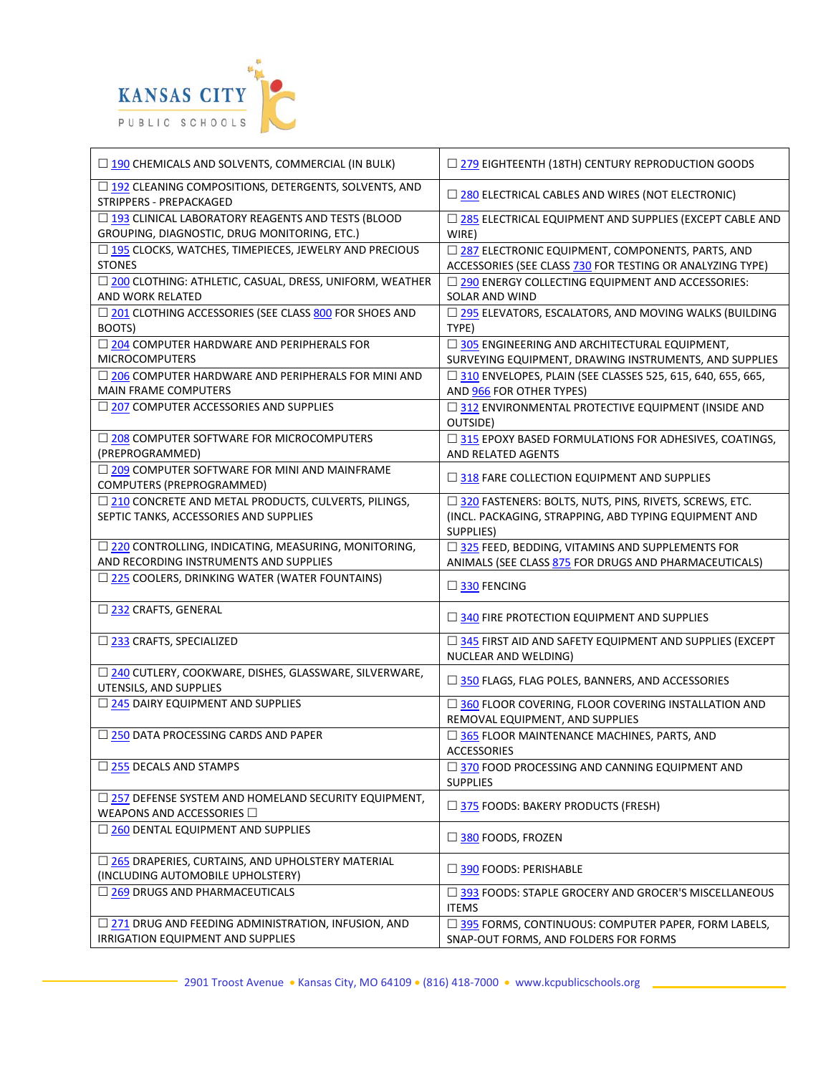

| $\Box$ 190 CHEMICALS AND SOLVENTS, COMMERCIAL (IN BULK)                                             | □ 279 EIGHTEENTH (18TH) CENTURY REPRODUCTION GOODS                                                                                    |
|-----------------------------------------------------------------------------------------------------|---------------------------------------------------------------------------------------------------------------------------------------|
| □ 192 CLEANING COMPOSITIONS, DETERGENTS, SOLVENTS, AND<br>STRIPPERS - PREPACKAGED                   | $\Box$ 280 ELECTRICAL CABLES AND WIRES (NOT ELECTRONIC)                                                                               |
| □ 193 CLINICAL LABORATORY REAGENTS AND TESTS (BLOOD<br>GROUPING, DIAGNOSTIC, DRUG MONITORING, ETC.) | □ 285 ELECTRICAL EQUIPMENT AND SUPPLIES (EXCEPT CABLE AND<br>WIRE)                                                                    |
| □ 195 CLOCKS, WATCHES, TIMEPIECES, JEWELRY AND PRECIOUS<br><b>STONES</b>                            | □ 287 ELECTRONIC EQUIPMENT, COMPONENTS, PARTS, AND<br>ACCESSORIES (SEE CLASS 730 FOR TESTING OR ANALYZING TYPE)                       |
| □ 200 CLOTHING: ATHLETIC, CASUAL, DRESS, UNIFORM, WEATHER<br>AND WORK RELATED                       | □ 290 ENERGY COLLECTING EQUIPMENT AND ACCESSORIES:<br>SOLAR AND WIND                                                                  |
| □ 201 CLOTHING ACCESSORIES (SEE CLASS 800 FOR SHOES AND<br>BOOTS)                                   | □ 295 ELEVATORS, ESCALATORS, AND MOVING WALKS (BUILDING<br>TYPE)                                                                      |
| □ 204 COMPUTER HARDWARE AND PERIPHERALS FOR<br><b>MICROCOMPUTERS</b>                                | □ 305 ENGINEERING AND ARCHITECTURAL EQUIPMENT,<br>SURVEYING EQUIPMENT, DRAWING INSTRUMENTS, AND SUPPLIES                              |
| □ 206 COMPUTER HARDWARE AND PERIPHERALS FOR MINI AND<br><b>MAIN FRAME COMPUTERS</b>                 | □ 310 ENVELOPES, PLAIN (SEE CLASSES 525, 615, 640, 655, 665,<br>AND 966 FOR OTHER TYPES)                                              |
| □ 207 COMPUTER ACCESSORIES AND SUPPLIES                                                             | □ 312 ENVIRONMENTAL PROTECTIVE EQUIPMENT (INSIDE AND<br>OUTSIDE)                                                                      |
| □ 208 COMPUTER SOFTWARE FOR MICROCOMPUTERS<br>(PREPROGRAMMED)                                       | □ 315 EPOXY BASED FORMULATIONS FOR ADHESIVES, COATINGS,<br>AND RELATED AGENTS                                                         |
| □ 209 COMPUTER SOFTWARE FOR MINI AND MAINFRAME<br>COMPUTERS (PREPROGRAMMED)                         | 318 FARE COLLECTION EQUIPMENT AND SUPPLIES                                                                                            |
| □ 210 CONCRETE AND METAL PRODUCTS, CULVERTS, PILINGS,<br>SEPTIC TANKS, ACCESSORIES AND SUPPLIES     | □ 320 FASTENERS: BOLTS, NUTS, PINS, RIVETS, SCREWS, ETC.<br>(INCL. PACKAGING, STRAPPING, ABD TYPING EQUIPMENT AND<br><b>SUPPLIES)</b> |
| □ 220 CONTROLLING, INDICATING, MEASURING, MONITORING,<br>AND RECORDING INSTRUMENTS AND SUPPLIES     | □ 325 FEED, BEDDING, VITAMINS AND SUPPLEMENTS FOR<br>ANIMALS (SEE CLASS 875 FOR DRUGS AND PHARMACEUTICALS)                            |
| □ 225 COOLERS, DRINKING WATER (WATER FOUNTAINS)                                                     | $\square$ 330 FENCING                                                                                                                 |
| □ 232 CRAFTS, GENERAL                                                                               | $\Box$ 340 FIRE PROTECTION EQUIPMENT AND SUPPLIES                                                                                     |
| □ 233 CRAFTS, SPECIALIZED                                                                           | $\Box$ 345 FIRST AID AND SAFETY EQUIPMENT AND SUPPLIES (EXCEPT<br>NUCLEAR AND WELDING)                                                |
| □ 240 CUTLERY, COOKWARE, DISHES, GLASSWARE, SILVERWARE,<br>UTENSILS, AND SUPPLIES                   | 350 FLAGS, FLAG POLES, BANNERS, AND ACCESSORIES                                                                                       |
| 245 DAIRY EQUIPMENT AND SUPPLIES                                                                    | □ 360 FLOOR COVERING, FLOOR COVERING INSTALLATION AND<br>REMOVAL EQUIPMENT, AND SUPPLIES                                              |
| □ 250 DATA PROCESSING CARDS AND PAPER                                                               | □ 365 FLOOR MAINTENANCE MACHINES, PARTS, AND<br><b>ACCESSORIES</b>                                                                    |
| $\Box$ 255 DECALS AND STAMPS                                                                        | □ 370 FOOD PROCESSING AND CANNING EQUIPMENT AND<br><b>SUPPLIES</b>                                                                    |
| $\Box$ 257 DEFENSE SYSTEM AND HOMELAND SECURITY EQUIPMENT,<br>WEAPONS AND ACCESSORIES O             | $\Box$ 375 FOODS: BAKERY PRODUCTS (FRESH)                                                                                             |
| $\Box$ 260 DENTAL EQUIPMENT AND SUPPLIES                                                            | $\Box$ 380 FOODS, FROZEN                                                                                                              |
| □ 265 DRAPERIES, CURTAINS, AND UPHOLSTERY MATERIAL<br>(INCLUDING AUTOMOBILE UPHOLSTERY)             | $\Box$ 390 FOODS: PERISHABLE                                                                                                          |
| $\Box$ 269 DRUGS AND PHARMACEUTICALS                                                                | $\Box$ 393 FOODS: STAPLE GROCERY AND GROCER'S MISCELLANEOUS<br><b>ITEMS</b>                                                           |
| □ 271 DRUG AND FEEDING ADMINISTRATION, INFUSION, AND<br>IRRIGATION EQUIPMENT AND SUPPLIES           | □ 395 FORMS, CONTINUOUS: COMPUTER PAPER, FORM LABELS,<br>SNAP-OUT FORMS, AND FOLDERS FOR FORMS                                        |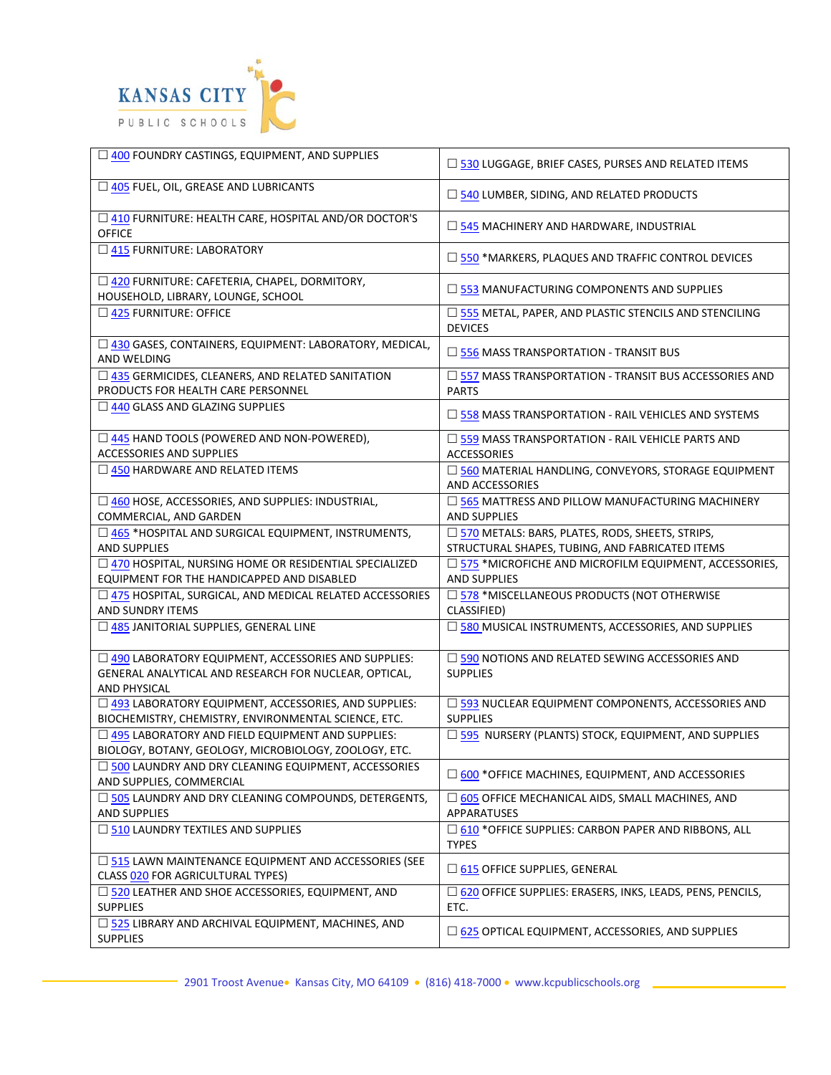

| □ 400 FOUNDRY CASTINGS, EQUIPMENT, AND SUPPLIES                                                                                | $\square$ 530 LUGGAGE, BRIEF CASES, PURSES AND RELATED ITEMS                                         |
|--------------------------------------------------------------------------------------------------------------------------------|------------------------------------------------------------------------------------------------------|
| 405 FUEL, OIL, GREASE AND LUBRICANTS                                                                                           | $\Box$ 540 LUMBER, SIDING, AND RELATED PRODUCTS                                                      |
| □ 410 FURNITURE: HEALTH CARE, HOSPITAL AND/OR DOCTOR'S<br><b>OFFICE</b>                                                        | $\Box$ 545 MACHINERY AND HARDWARE, INDUSTRIAL                                                        |
| $\Box$ 415 FURNITURE: LABORATORY                                                                                               | $\Box$ 550 *MARKERS, PLAQUES AND TRAFFIC CONTROL DEVICES                                             |
| □ 420 FURNITURE: CAFETERIA, CHAPEL, DORMITORY,<br>HOUSEHOLD, LIBRARY, LOUNGE, SCHOOL                                           | $\square$ 553 MANUFACTURING COMPONENTS AND SUPPLIES                                                  |
| □ 425 FURNITURE: OFFICE                                                                                                        | □ 555 METAL, PAPER, AND PLASTIC STENCILS AND STENCILING<br><b>DEVICES</b>                            |
| □ 430 GASES, CONTAINERS, EQUIPMENT: LABORATORY, MEDICAL,<br>AND WELDING                                                        | $\Box$ 556 MASS TRANSPORTATION - TRANSIT BUS                                                         |
| □ 435 GERMICIDES, CLEANERS, AND RELATED SANITATION<br>PRODUCTS FOR HEALTH CARE PERSONNEL                                       | $\square$ 557 MASS TRANSPORTATION - TRANSIT BUS ACCESSORIES AND<br><b>PARTS</b>                      |
| 440 GLASS AND GLAZING SUPPLIES                                                                                                 | $\Box$ 558 MASS TRANSPORTATION - RAIL VEHICLES AND SYSTEMS                                           |
| □ 445 HAND TOOLS (POWERED AND NON-POWERED),<br><b>ACCESSORIES AND SUPPLIES</b>                                                 | $\Box$ 559 MASS TRANSPORTATION - RAIL VEHICLE PARTS AND<br><b>ACCESSORIES</b>                        |
| $\Box$ 450 HARDWARE AND RELATED ITEMS                                                                                          | □ 560 MATERIAL HANDLING, CONVEYORS, STORAGE EQUIPMENT<br>AND ACCESSORIES                             |
| □ 460 HOSE, ACCESSORIES, AND SUPPLIES: INDUSTRIAL,<br>COMMERCIAL, AND GARDEN                                                   | □ 565 MATTRESS AND PILLOW MANUFACTURING MACHINERY<br><b>AND SUPPLIES</b>                             |
| □ 465 *HOSPITAL AND SURGICAL EQUIPMENT, INSTRUMENTS,<br><b>AND SUPPLIES</b>                                                    | □ 570 METALS: BARS, PLATES, RODS, SHEETS, STRIPS,<br>STRUCTURAL SHAPES, TUBING, AND FABRICATED ITEMS |
| □ 470 HOSPITAL, NURSING HOME OR RESIDENTIAL SPECIALIZED<br>EQUIPMENT FOR THE HANDICAPPED AND DISABLED                          | $\Box$ 575 *MICROFICHE AND MICROFILM EQUIPMENT, ACCESSORIES,<br><b>AND SUPPLIES</b>                  |
| $\Box$ 475 HOSPITAL, SURGICAL, AND MEDICAL RELATED ACCESSORIES<br>AND SUNDRY ITEMS                                             | □ 578 *MISCELLANEOUS PRODUCTS (NOT OTHERWISE<br>CLASSIFIED)                                          |
| □ 485 JANITORIAL SUPPLIES, GENERAL LINE                                                                                        | □ 580 MUSICAL INSTRUMENTS, ACCESSORIES, AND SUPPLIES                                                 |
| □ 490 LABORATORY EQUIPMENT, ACCESSORIES AND SUPPLIES:<br>GENERAL ANALYTICAL AND RESEARCH FOR NUCLEAR, OPTICAL,<br>AND PHYSICAL | $\square$ 590 NOTIONS AND RELATED SEWING ACCESSORIES AND<br><b>SUPPLIES</b>                          |
| □ 493 LABORATORY EQUIPMENT, ACCESSORIES, AND SUPPLIES:<br>BIOCHEMISTRY, CHEMISTRY, ENVIRONMENTAL SCIENCE, ETC.                 | □ 593 NUCLEAR EQUIPMENT COMPONENTS, ACCESSORIES AND<br><b>SUPPLIES</b>                               |
| □ 495 LABORATORY AND FIELD EQUIPMENT AND SUPPLIES:<br>BIOLOGY, BOTANY, GEOLOGY, MICROBIOLOGY, ZOOLOGY, ETC.                    | □ 595 NURSERY (PLANTS) STOCK, EQUIPMENT, AND SUPPLIES                                                |
| 500 LAUNDRY AND DRY CLEANING EQUIPMENT, ACCESSORIES<br>AND SUPPLIES, COMMERCIAL                                                | □ 600 *OFFICE MACHINES, EQUIPMENT, AND ACCESSORIES                                                   |
| □ 505 LAUNDRY AND DRY CLEANING COMPOUNDS, DETERGENTS,<br><b>AND SUPPLIES</b>                                                   | $\Box$ 605 OFFICE MECHANICAL AIDS, SMALL MACHINES, AND<br>APPARATUSES                                |
| $\Box$ 510 LAUNDRY TEXTILES AND SUPPLIES                                                                                       | $\square$ 610 * OFFICE SUPPLIES: CARBON PAPER AND RIBBONS, ALL<br><b>TYPES</b>                       |
| $\square$ 515 LAWN MAINTENANCE EQUIPMENT AND ACCESSORIES (SEE<br>CLASS 020 FOR AGRICULTURAL TYPES)                             | $\square$ 615 OFFICE SUPPLIES, GENERAL                                                               |
| □ 520 LEATHER AND SHOE ACCESSORIES, EQUIPMENT, AND<br><b>SUPPLIES</b>                                                          | $\Box$ 620 OFFICE SUPPLIES: ERASERS, INKS, LEADS, PENS, PENCILS,<br>ETC.                             |
| □ 525 LIBRARY AND ARCHIVAL EQUIPMENT, MACHINES, AND<br><b>SUPPLIES</b>                                                         | $\Box$ 625 OPTICAL EQUIPMENT, ACCESSORIES, AND SUPPLIES                                              |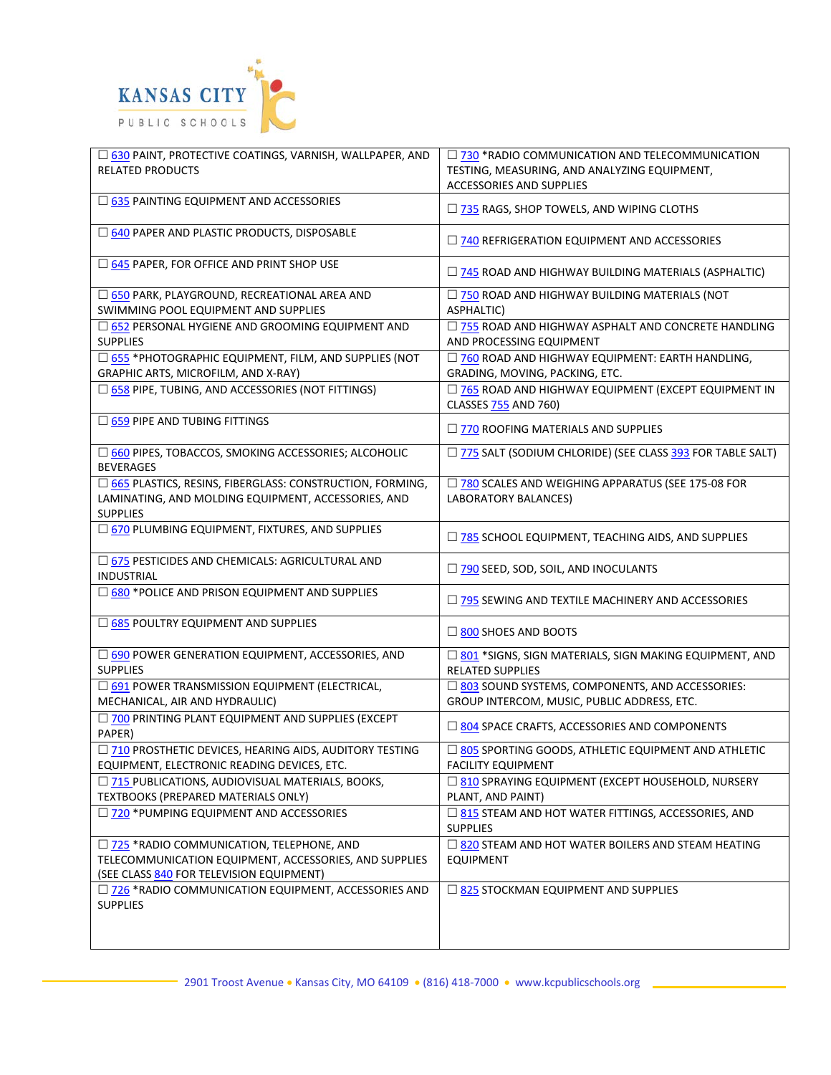

| □ 630 PAINT, PROTECTIVE COATINGS, VARNISH, WALLPAPER, AND<br><b>RELATED PRODUCTS</b>                                                 | □ 730 *RADIO COMMUNICATION AND TELECOMMUNICATION<br>TESTING, MEASURING, AND ANALYZING EQUIPMENT, |
|--------------------------------------------------------------------------------------------------------------------------------------|--------------------------------------------------------------------------------------------------|
|                                                                                                                                      | ACCESSORIES AND SUPPLIES                                                                         |
| □ 635 PAINTING EQUIPMENT AND ACCESSORIES                                                                                             | $\Box$ 735 RAGS, SHOP TOWELS, AND WIPING CLOTHS                                                  |
| □ 640 PAPER AND PLASTIC PRODUCTS, DISPOSABLE                                                                                         | $\Box$ 740 REFRIGERATION EQUIPMENT AND ACCESSORIES                                               |
| □ 645 PAPER, FOR OFFICE AND PRINT SHOP USE                                                                                           | $\Box$ 745 ROAD AND HIGHWAY BUILDING MATERIALS (ASPHALTIC)                                       |
| □ 650 PARK, PLAYGROUND, RECREATIONAL AREA AND                                                                                        | □ 750 ROAD AND HIGHWAY BUILDING MATERIALS (NOT                                                   |
| SWIMMING POOL EQUIPMENT AND SUPPLIES                                                                                                 | ASPHALTIC)                                                                                       |
| □ 652 PERSONAL HYGIENE AND GROOMING EQUIPMENT AND<br><b>SUPPLIES</b>                                                                 | $\Box$ 755 ROAD AND HIGHWAY ASPHALT AND CONCRETE HANDLING<br>AND PROCESSING EQUIPMENT            |
| □ 655 *PHOTOGRAPHIC EQUIPMENT, FILM, AND SUPPLIES (NOT<br>GRAPHIC ARTS, MICROFILM, AND X-RAY)                                        | □ 760 ROAD AND HIGHWAY EQUIPMENT: EARTH HANDLING,<br>GRADING, MOVING, PACKING, ETC.              |
| □ 658 PIPE, TUBING, AND ACCESSORIES (NOT FITTINGS)                                                                                   | □ 765 ROAD AND HIGHWAY EQUIPMENT (EXCEPT EQUIPMENT IN<br>CLASSES 755 AND 760)                    |
| $\square$ 659 PIPE AND TUBING FITTINGS                                                                                               | $\Box$ 770 ROOFING MATERIALS AND SUPPLIES                                                        |
| 660 PIPES, TOBACCOS, SMOKING ACCESSORIES; ALCOHOLIC<br><b>BEVERAGES</b>                                                              | □ 775 SALT (SODIUM CHLORIDE) (SEE CLASS 393 FOR TABLE SALT)                                      |
| □ 665 PLASTICS, RESINS, FIBERGLASS: CONSTRUCTION, FORMING,<br>LAMINATING, AND MOLDING EQUIPMENT, ACCESSORIES, AND<br><b>SUPPLIES</b> | □ 780 SCALES AND WEIGHING APPARATUS (SEE 175-08 FOR<br>LABORATORY BALANCES)                      |
| □ 670 PLUMBING EQUIPMENT, FIXTURES, AND SUPPLIES                                                                                     | $\Box$ 785 SCHOOL EQUIPMENT, TEACHING AIDS, AND SUPPLIES                                         |
| □ 675 PESTICIDES AND CHEMICALS: AGRICULTURAL AND<br>INDUSTRIAL                                                                       | □ 790 SEED, SOD, SOIL, AND INOCULANTS                                                            |
| □ 680 *POLICE AND PRISON EQUIPMENT AND SUPPLIES                                                                                      | $\Box$ 795 SEWING AND TEXTILE MACHINERY AND ACCESSORIES                                          |
| $\Box$ 685 POULTRY EQUIPMENT AND SUPPLIES                                                                                            | □ 800 SHOES AND BOOTS                                                                            |
| □ 690 POWER GENERATION EQUIPMENT, ACCESSORIES, AND<br><b>SUPPLIES</b>                                                                | □ 801 *SIGNS, SIGN MATERIALS, SIGN MAKING EQUIPMENT, AND<br><b>RELATED SUPPLIES</b>              |
| □ 691 POWER TRANSMISSION EQUIPMENT (ELECTRICAL,<br>MECHANICAL, AIR AND HYDRAULIC)                                                    | □ 803 SOUND SYSTEMS, COMPONENTS, AND ACCESSORIES:<br>GROUP INTERCOM, MUSIC, PUBLIC ADDRESS, ETC. |
| 700 PRINTING PLANT EQUIPMENT AND SUPPLIES (EXCEPT<br>PAPER)                                                                          | □ 804 SPACE CRAFTS, ACCESSORIES AND COMPONENTS                                                   |
| 710 PROSTHETIC DEVICES, HEARING AIDS, AUDITORY TESTING<br>EQUIPMENT, ELECTRONIC READING DEVICES, ETC.                                | □ 805 SPORTING GOODS, ATHLETIC EQUIPMENT AND ATHLETIC<br><b>FACILITY EQUIPMENT</b>               |
| □ 715 PUBLICATIONS, AUDIOVISUAL MATERIALS, BOOKS,<br>TEXTBOOKS (PREPARED MATERIALS ONLY)                                             | □ 810 SPRAYING EQUIPMENT (EXCEPT HOUSEHOLD, NURSERY<br>PLANT, AND PAINT)                         |
| $\Box$ 720 *PUMPING EQUIPMENT AND ACCESSORIES                                                                                        | $\Box$ 815 STEAM AND HOT WATER FITTINGS, ACCESSORIES, AND<br><b>SUPPLIES</b>                     |
| □ 725 *RADIO COMMUNICATION, TELEPHONE, AND                                                                                           | $\Box$ 820 STEAM AND HOT WATER BOILERS AND STEAM HEATING                                         |
| TELECOMMUNICATION EQUIPMENT, ACCESSORIES, AND SUPPLIES                                                                               | <b>EQUIPMENT</b>                                                                                 |
| (SEE CLASS 840 FOR TELEVISION EQUIPMENT)                                                                                             |                                                                                                  |
| $\Box$ 726 *RADIO COMMUNICATION EQUIPMENT, ACCESSORIES AND<br><b>SUPPLIES</b>                                                        | $\Box$ 825 STOCKMAN EQUIPMENT AND SUPPLIES                                                       |
|                                                                                                                                      |                                                                                                  |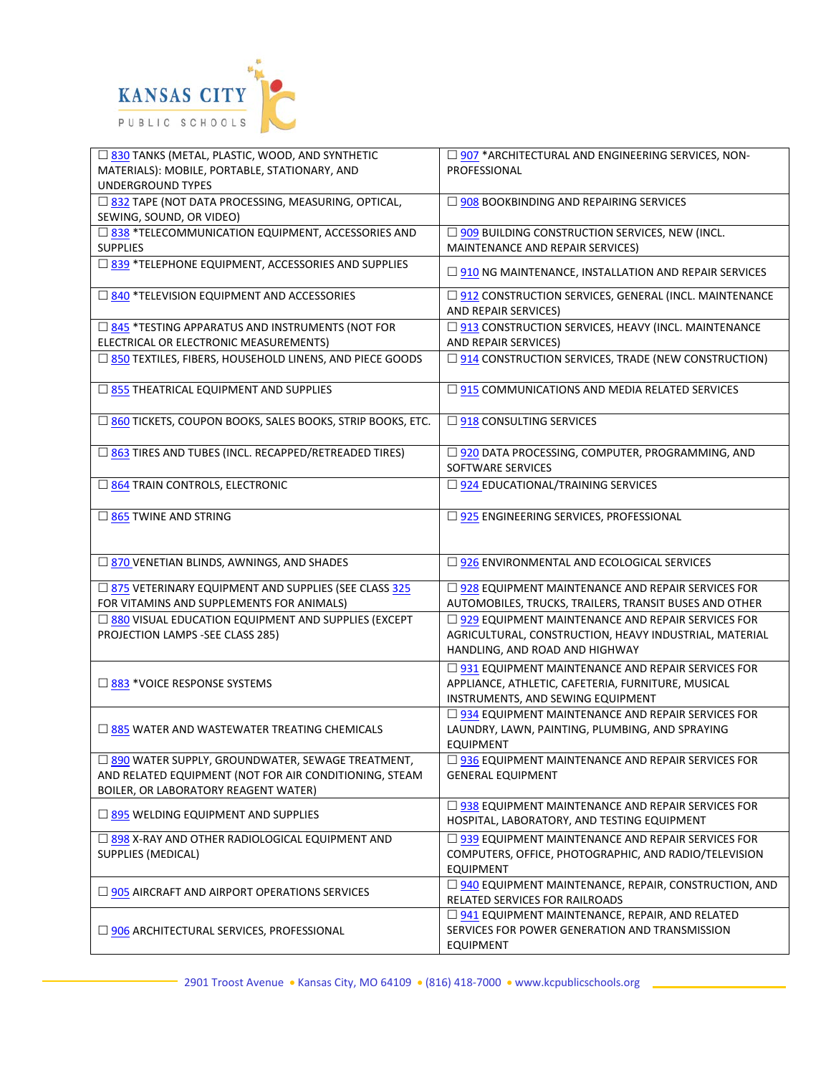

| 330 TANKS (METAL, PLASTIC, WOOD, AND SYNTHETIC<br>MATERIALS): MOBILE, PORTABLE, STATIONARY, AND<br><b>UNDERGROUND TYPES</b>                          | □ 907 *ARCHITECTURAL AND ENGINEERING SERVICES, NON-<br>PROFESSIONAL                                                                                  |
|------------------------------------------------------------------------------------------------------------------------------------------------------|------------------------------------------------------------------------------------------------------------------------------------------------------|
| □ 832 TAPE (NOT DATA PROCESSING, MEASURING, OPTICAL,<br>SEWING, SOUND, OR VIDEO)                                                                     | $\Box$ 908 BOOKBINDING AND REPAIRING SERVICES                                                                                                        |
| □ 838 *TELECOMMUNICATION EQUIPMENT, ACCESSORIES AND<br><b>SUPPLIES</b>                                                                               | □ 909 BUILDING CONSTRUCTION SERVICES, NEW (INCL.<br>MAINTENANCE AND REPAIR SERVICES)                                                                 |
| □ 839 *TELEPHONE EQUIPMENT, ACCESSORIES AND SUPPLIES                                                                                                 | $\square$ 910 NG MAINTENANCE, INSTALLATION AND REPAIR SERVICES                                                                                       |
| □ 840 *TELEVISION EQUIPMENT AND ACCESSORIES                                                                                                          | □ 912 CONSTRUCTION SERVICES, GENERAL (INCL. MAINTENANCE<br>AND REPAIR SERVICES)                                                                      |
| □ 845 *TESTING APPARATUS AND INSTRUMENTS (NOT FOR<br>ELECTRICAL OR ELECTRONIC MEASUREMENTS)                                                          | □ 913 CONSTRUCTION SERVICES, HEAVY (INCL. MAINTENANCE<br>AND REPAIR SERVICES)                                                                        |
| □ 850 TEXTILES, FIBERS, HOUSEHOLD LINENS, AND PIECE GOODS                                                                                            | □ 914 CONSTRUCTION SERVICES, TRADE (NEW CONSTRUCTION)                                                                                                |
| □ 855 THEATRICAL EQUIPMENT AND SUPPLIES                                                                                                              | $\Box$ 915 COMMUNICATIONS AND MEDIA RELATED SERVICES                                                                                                 |
| □ 860 TICKETS, COUPON BOOKS, SALES BOOKS, STRIP BOOKS, ETC.                                                                                          | $\Box$ 918 CONSULTING SERVICES                                                                                                                       |
| □ 863 TIRES AND TUBES (INCL. RECAPPED/RETREADED TIRES)                                                                                               | □ 920 DATA PROCESSING, COMPUTER, PROGRAMMING, AND<br>SOFTWARE SERVICES                                                                               |
| 364 TRAIN CONTROLS, ELECTRONIC                                                                                                                       | $\Box$ 924 EDUCATIONAL/TRAINING SERVICES                                                                                                             |
| $\Box$ 865 TWINE AND STRING                                                                                                                          | □ 925 ENGINEERING SERVICES, PROFESSIONAL                                                                                                             |
| □ 870 VENETIAN BLINDS, AWNINGS, AND SHADES                                                                                                           | $\square$ 926 ENVIRONMENTAL AND ECOLOGICAL SERVICES                                                                                                  |
| □ 875 VETERINARY EQUIPMENT AND SUPPLIES (SEE CLASS 325<br>FOR VITAMINS AND SUPPLEMENTS FOR ANIMALS)                                                  | $\Box$ 928 EQUIPMENT MAINTENANCE AND REPAIR SERVICES FOR<br>AUTOMOBILES, TRUCKS, TRAILERS, TRANSIT BUSES AND OTHER                                   |
| □ 880 VISUAL EDUCATION EQUIPMENT AND SUPPLIES (EXCEPT<br>PROJECTION LAMPS -SEE CLASS 285)                                                            | $\Box$ 929 EQUIPMENT MAINTENANCE AND REPAIR SERVICES FOR<br>AGRICULTURAL, CONSTRUCTION, HEAVY INDUSTRIAL, MATERIAL<br>HANDLING, AND ROAD AND HIGHWAY |
| $\square$ 883 *VOICE RESPONSE SYSTEMS                                                                                                                | □ 931 EQUIPMENT MAINTENANCE AND REPAIR SERVICES FOR<br>APPLIANCE, ATHLETIC, CAFETERIA, FURNITURE, MUSICAL<br>INSTRUMENTS, AND SEWING EQUIPMENT       |
| $\Box$ 885 WATER AND WASTEWATER TREATING CHEMICALS                                                                                                   | $\Box$ 934 EQUIPMENT MAINTENANCE AND REPAIR SERVICES FOR<br>LAUNDRY, LAWN, PAINTING, PLUMBING, AND SPRAYING<br><b>EQUIPMENT</b>                      |
| □ 890 WATER SUPPLY, GROUNDWATER, SEWAGE TREATMENT,<br>AND RELATED EQUIPMENT (NOT FOR AIR CONDITIONING, STEAM<br>BOILER, OR LABORATORY REAGENT WATER) | $\square$ 936 EQUIPMENT MAINTENANCE AND REPAIR SERVICES FOR<br><b>GENERAL EQUIPMENT</b>                                                              |
| $\Box$ 895 WELDING EQUIPMENT AND SUPPLIES                                                                                                            | $\Box$ 938 EQUIPMENT MAINTENANCE AND REPAIR SERVICES FOR<br>HOSPITAL, LABORATORY, AND TESTING EQUIPMENT                                              |
| $\Box$ 898 X-RAY AND OTHER RADIOLOGICAL EQUIPMENT AND<br>SUPPLIES (MEDICAL)                                                                          | $\Box$ 939 EQUIPMENT MAINTENANCE AND REPAIR SERVICES FOR<br>COMPUTERS, OFFICE, PHOTOGRAPHIC, AND RADIO/TELEVISION<br><b>EQUIPMENT</b>                |
| $\Box$ 905 AIRCRAFT AND AIRPORT OPERATIONS SERVICES                                                                                                  | $\Box$ 940 EQUIPMENT MAINTENANCE, REPAIR, CONSTRUCTION, AND<br>RELATED SERVICES FOR RAILROADS                                                        |
| $\Box$ 906 ARCHITECTURAL SERVICES, PROFESSIONAL                                                                                                      | □ 941 EQUIPMENT MAINTENANCE, REPAIR, AND RELATED<br>SERVICES FOR POWER GENERATION AND TRANSMISSION<br><b>EQUIPMENT</b>                               |